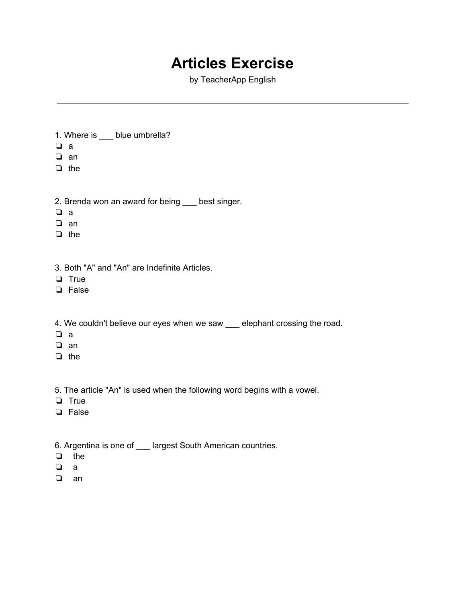## **Articles Exercise**

by TeacherApp English

- 1. Where is \_\_\_ blue umbrella?
- ❏ a
- ❏ an
- ❏ the
- 2. Brenda won an award for being \_\_\_ best singer.
- ❏ a
- ❏ an
- ❏ the
- 3. Both "A" and "An" are Indefinite Articles.
- ❏ True
- ❏ False
- 4. We couldn't believe our eyes when we saw elephant crossing the road.
- ❏ a
- ❏ an
- ❏ the
- 5. The article "An" is used when the following word begins with a vowel.
- ❏ True
- ❏ False
- 6. Argentina is one of \_\_\_ largest South American countries.
- ❏ the
- ❏ a
- ❏ an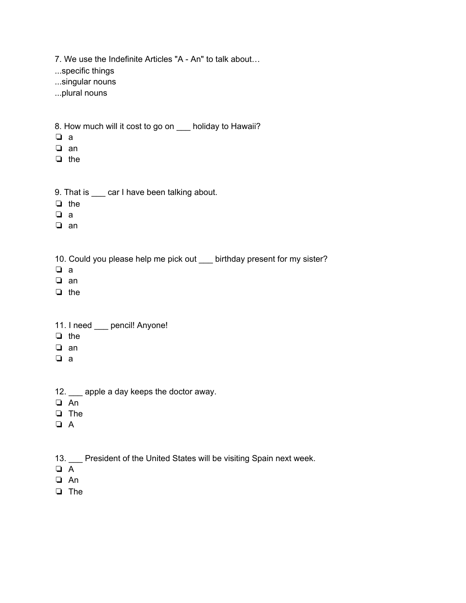7. We use the Indefinite Articles "A - An" to talk about…

...specific things

...singular nouns

...plural nouns

8. How much will it cost to go on \_\_\_ holiday to Hawaii?

- ❏ a
- ❏ an
- ❏ the
- 9. That is \_\_\_ car I have been talking about.
- ❏ the
- ❏ a
- ❏ an

10. Could you please help me pick out \_\_\_ birthday present for my sister?

- ❏ a
- ❏ an
- ❏ the
- 11. I need \_\_\_ pencil! Anyone!
- ❏ the
- ❏ an
- ❏ a
- 12. \_\_\_ apple a day keeps the doctor away.
- ❏ An
- ❏ The
- ❏ A
- 13. \_\_\_ President of the United States will be visiting Spain next week.
- ❏ A
- ❏ An
- ❏ The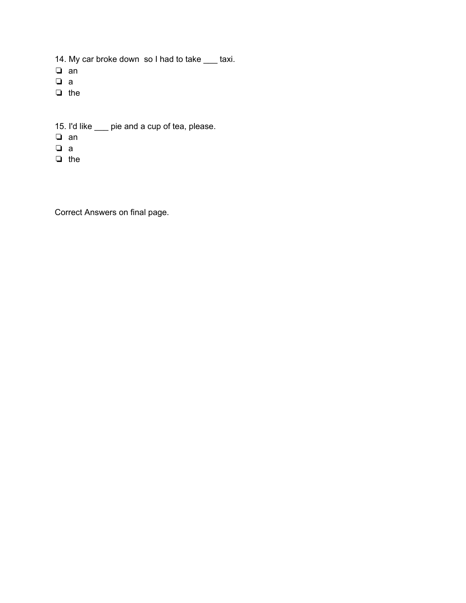14. My car broke down so I had to take \_\_\_ taxi.

- ❏ an
- ❏ a
- ❏ the
- 15. I'd like \_\_\_ pie and a cup of tea, please.
- ❏ an
- ❏ a
- ❏ the

Correct Answers on final page.